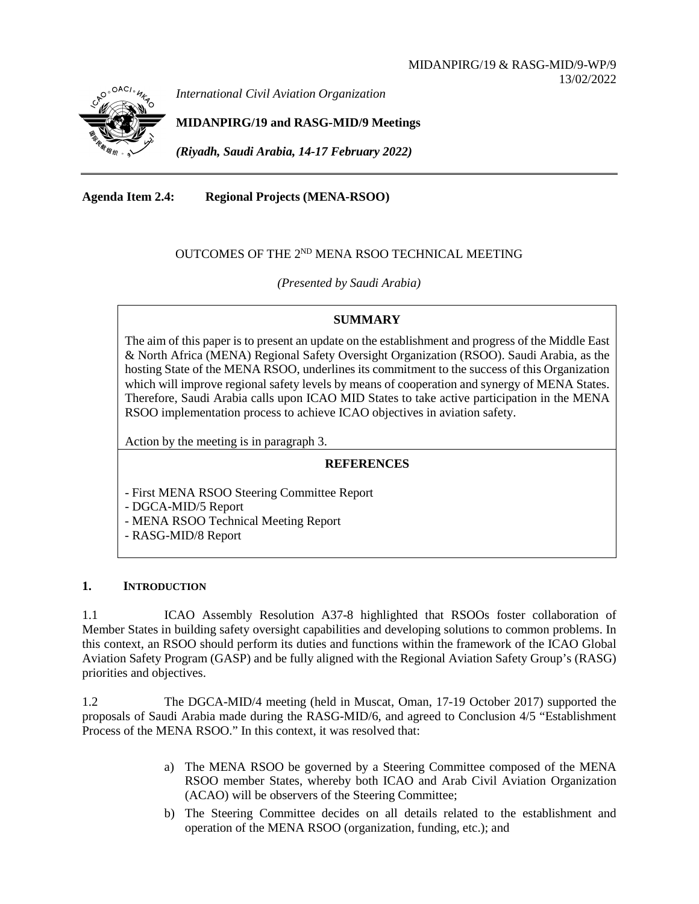

*International Civil Aviation Organization*

**MIDANPIRG/19 and RASG-MID/9 Meetings**

*(Riyadh, Saudi Arabia, 14-17 February 2022)*

**Agenda Item 2.4: Regional Projects (MENA-RSOO)**

# OUTCOMES OF THE 2<sup>ND</sup> MENA RSOO TECHNICAL MEETING

*(Presented by Saudi Arabia)*

### **SUMMARY**

The aim of this paper is to present an update on the establishment and progress of the Middle East & North Africa (MENA) Regional Safety Oversight Organization (RSOO). Saudi Arabia, as the hosting State of the MENA RSOO, underlines its commitment to the success of this Organization which will improve regional safety levels by means of cooperation and synergy of MENA States. Therefore, Saudi Arabia calls upon ICAO MID States to take active participation in the MENA RSOO implementation process to achieve ICAO objectives in aviation safety.

Action by the meeting is in paragraph 3.

# **REFERENCES**

- First MENA RSOO Steering Committee Report
- DGCA-MID/5 Report
- MENA RSOO Technical Meeting Report
- RASG-MID/8 Report

#### **1. INTRODUCTION**

1.1 ICAO Assembly Resolution A37-8 highlighted that RSOOs foster collaboration of Member States in building safety oversight capabilities and developing solutions to common problems. In this context, an RSOO should perform its duties and functions within the framework of the ICAO Global Aviation Safety Program (GASP) and be fully aligned with the Regional Aviation Safety Group's (RASG) priorities and objectives.

1.2 The DGCA-MID/4 meeting (held in Muscat, Oman, 17-19 October 2017) supported the proposals of Saudi Arabia made during the RASG-MID/6, and agreed to Conclusion 4/5 "Establishment Process of the MENA RSOO." In this context, it was resolved that:

- a) The MENA RSOO be governed by a Steering Committee composed of the MENA RSOO member States, whereby both ICAO and Arab Civil Aviation Organization (ACAO) will be observers of the Steering Committee;
- b) The Steering Committee decides on all details related to the establishment and operation of the MENA RSOO (organization, funding, etc.); and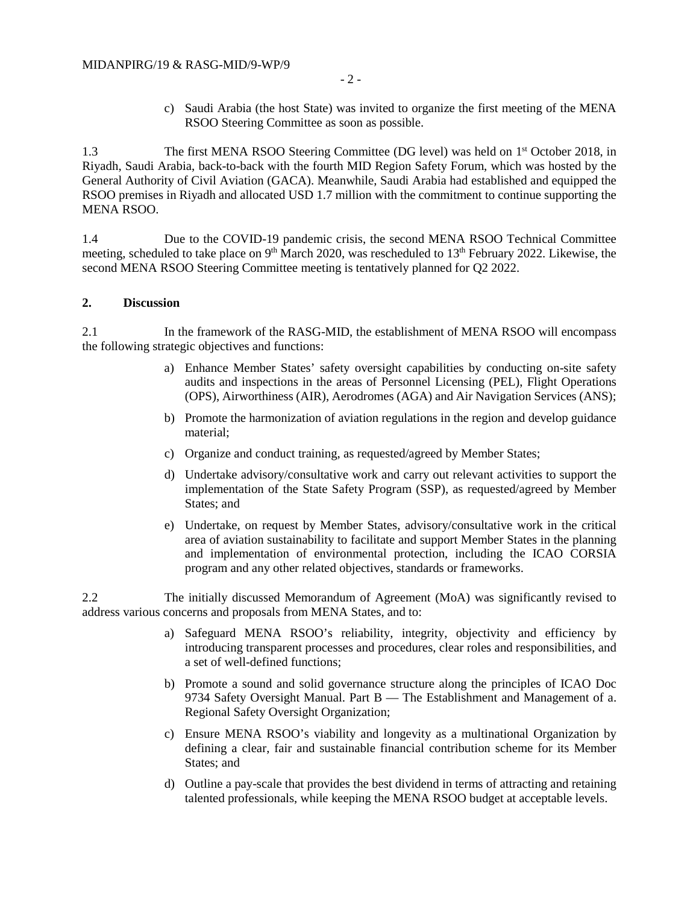- 2 -
- c) Saudi Arabia (the host State) was invited to organize the first meeting of the MENA RSOO Steering Committee as soon as possible.

1.3 The first MENA RSOO Steering Committee (DG level) was held on 1<sup>st</sup> October 2018, in Riyadh, Saudi Arabia, back-to-back with the fourth MID Region Safety Forum, which was hosted by the General Authority of Civil Aviation (GACA). Meanwhile, Saudi Arabia had established and equipped the RSOO premises in Riyadh and allocated USD 1.7 million with the commitment to continue supporting the MENA RSOO.

1.4 Due to the COVID-19 pandemic crisis, the second MENA RSOO Technical Committee meeting, scheduled to take place on 9<sup>th</sup> March 2020, was rescheduled to 13<sup>th</sup> February 2022. Likewise, the second MENA RSOO Steering Committee meeting is tentatively planned for Q2 2022.

#### **2. Discussion**

2.1 In the framework of the RASG-MID, the establishment of MENA RSOO will encompass the following strategic objectives and functions:

- a) Enhance Member States' safety oversight capabilities by conducting on-site safety audits and inspections in the areas of Personnel Licensing (PEL), Flight Operations (OPS), Airworthiness (AIR), Aerodromes (AGA) and Air Navigation Services (ANS);
- b) Promote the harmonization of aviation regulations in the region and develop guidance material;
- c) Organize and conduct training, as requested/agreed by Member States;
- d) Undertake advisory/consultative work and carry out relevant activities to support the implementation of the State Safety Program (SSP), as requested/agreed by Member States; and
- e) Undertake, on request by Member States, advisory/consultative work in the critical area of aviation sustainability to facilitate and support Member States in the planning and implementation of environmental protection, including the ICAO CORSIA program and any other related objectives, standards or frameworks.

2.2 The initially discussed Memorandum of Agreement (MoA) was significantly revised to address various concerns and proposals from MENA States, and to:

- a) Safeguard MENA RSOO's reliability, integrity, objectivity and efficiency by introducing transparent processes and procedures, clear roles and responsibilities, and a set of well-defined functions;
- b) Promote a sound and solid governance structure along the principles of ICAO Doc 9734 Safety Oversight Manual. Part B — The Establishment and Management of a. Regional Safety Oversight Organization;
- c) Ensure MENA RSOO's viability and longevity as a multinational Organization by defining a clear, fair and sustainable financial contribution scheme for its Member States; and
- d) Outline a pay-scale that provides the best dividend in terms of attracting and retaining talented professionals, while keeping the MENA RSOO budget at acceptable levels.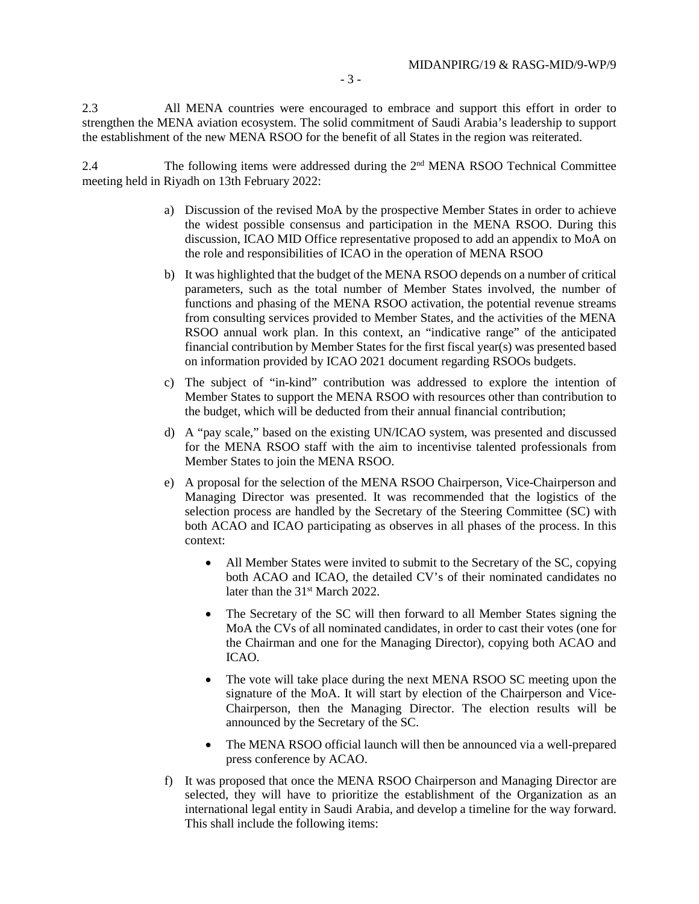- 3 -

2.3 All MENA countries were encouraged to embrace and support this effort in order to strengthen the MENA aviation ecosystem. The solid commitment of Saudi Arabia's leadership to support the establishment of the new MENA RSOO for the benefit of all States in the region was reiterated.

2.4 The following items were addressed during the 2nd MENA RSOO Technical Committee meeting held in Riyadh on 13th February 2022:

- a) Discussion of the revised MoA by the prospective Member States in order to achieve the widest possible consensus and participation in the MENA RSOO. During this discussion, ICAO MID Office representative proposed to add an appendix to MoA on the role and responsibilities of ICAO in the operation of MENA RSOO
- b) It was highlighted that the budget of the MENA RSOO depends on a number of critical parameters, such as the total number of Member States involved, the number of functions and phasing of the MENA RSOO activation, the potential revenue streams from consulting services provided to Member States, and the activities of the MENA RSOO annual work plan. In this context, an "indicative range" of the anticipated financial contribution by Member States for the first fiscal year(s) was presented based on information provided by ICAO 2021 document regarding RSOOs budgets.
- c) The subject of "in-kind" contribution was addressed to explore the intention of Member States to support the MENA RSOO with resources other than contribution to the budget, which will be deducted from their annual financial contribution;
- d) A "pay scale," based on the existing UN/ICAO system, was presented and discussed for the MENA RSOO staff with the aim to incentivise talented professionals from Member States to join the MENA RSOO.
- e) A proposal for the selection of the MENA RSOO Chairperson, Vice-Chairperson and Managing Director was presented. It was recommended that the logistics of the selection process are handled by the Secretary of the Steering Committee (SC) with both ACAO and ICAO participating as observes in all phases of the process. In this context:
	- All Member States were invited to submit to the Secretary of the SC, copying both ACAO and ICAO, the detailed CV's of their nominated candidates no later than the 31<sup>st</sup> March 2022.
	- The Secretary of the SC will then forward to all Member States signing the MoA the CVs of all nominated candidates, in order to cast their votes (one for the Chairman and one for the Managing Director), copying both ACAO and ICAO.
	- The vote will take place during the next MENA RSOO SC meeting upon the signature of the MoA. It will start by election of the Chairperson and Vice-Chairperson, then the Managing Director. The election results will be announced by the Secretary of the SC.
	- The MENA RSOO official launch will then be announced via a well-prepared press conference by ACAO.
- f) It was proposed that once the MENA RSOO Chairperson and Managing Director are selected, they will have to prioritize the establishment of the Organization as an international legal entity in Saudi Arabia, and develop a timeline for the way forward. This shall include the following items: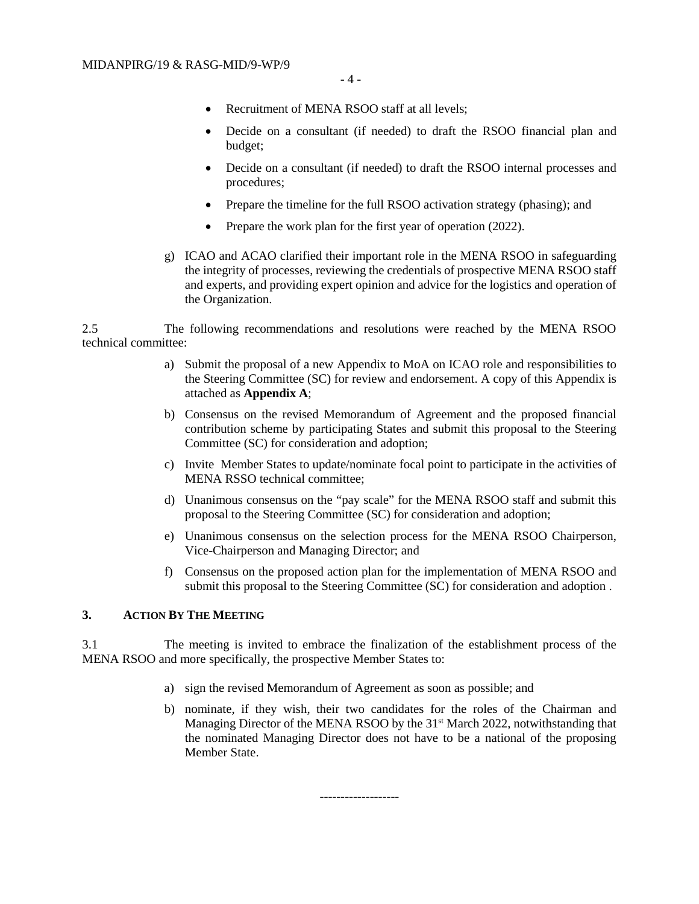- Recruitment of MENA RSOO staff at all levels:
- Decide on a consultant (if needed) to draft the RSOO financial plan and budget;
- Decide on a consultant (if needed) to draft the RSOO internal processes and procedures;
- Prepare the timeline for the full RSOO activation strategy (phasing); and
- Prepare the work plan for the first year of operation (2022).
- g) ICAO and ACAO clarified their important role in the MENA RSOO in safeguarding the integrity of processes, reviewing the credentials of prospective MENA RSOO staff and experts, and providing expert opinion and advice for the logistics and operation of the Organization.

2.5 The following recommendations and resolutions were reached by the MENA RSOO technical committee:

- a) Submit the proposal of a new Appendix to MoA on ICAO role and responsibilities to the Steering Committee (SC) for review and endorsement. A copy of this Appendix is attached as **Appendix A**;
- b) Consensus on the revised Memorandum of Agreement and the proposed financial contribution scheme by participating States and submit this proposal to the Steering Committee (SC) for consideration and adoption;
- c) Invite Member States to update/nominate focal point to participate in the activities of MENA RSSO technical committee;
- d) Unanimous consensus on the "pay scale" for the MENA RSOO staff and submit this proposal to the Steering Committee (SC) for consideration and adoption;
- e) Unanimous consensus on the selection process for the MENA RSOO Chairperson, Vice-Chairperson and Managing Director; and
- f) Consensus on the proposed action plan for the implementation of MENA RSOO and submit this proposal to the Steering Committee (SC) for consideration and adoption .

# **3. ACTION BY THE MEETING**

3.1 The meeting is invited to embrace the finalization of the establishment process of the MENA RSOO and more specifically, the prospective Member States to:

- a) sign the revised Memorandum of Agreement as soon as possible; and
- b) nominate, if they wish, their two candidates for the roles of the Chairman and Managing Director of the MENA RSOO by the 31<sup>st</sup> March 2022, notwithstanding that the nominated Managing Director does not have to be a national of the proposing Member State.

-------------------